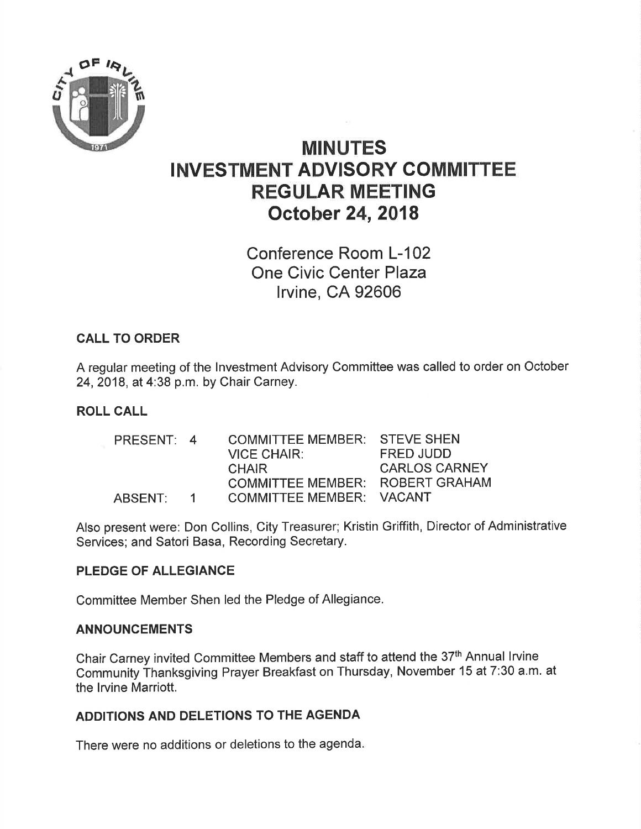

# MINUTES INVESTMENT ADVISORY COMMITTEE REGULAR MEETING October 24,2018

Conference Room L-102 One Civic Center Plaza lrvine, CA 92606

### CALL TO ORDER

A regular meeting of the lnvestment Advisory Committee was called to order on October 24,2018, at 4:38 p.m. by Chair Carney.

#### ROLL CALL

PRESENT: 4 COMMITTEE MEMBER: STEVE SHEN<br>VICE CHAIR: FRED JUDD VICE CHAIR:<br>CHAIR **CARLOS CARNEY** COMMITTEE MEMBER: ROBERT GRAHAM ABSENT: 1 COMMITTEE MEMBER: VACANT

Also present were: Don Collins, City Treasurer; Kristin Griffith, Director of Administrative Services; and Satori Basa, Recording Secretary.

#### PLEDGE OF ALLEGIANCE

Committee Member Shen led the Pledge of Allegiance.

#### ANNOUNCEMENTS

Chair Carney invited Committee Members and staff to attend the 37th Annual lrvine Community Thanksgiving Prayer Breakfast on Thursday, November 15 at 7:30 a.m. at the lrvine Marriott.

### ADDITIONS AND DELETIONS TO THE AGENDA

There were no additions or deletions to the agenda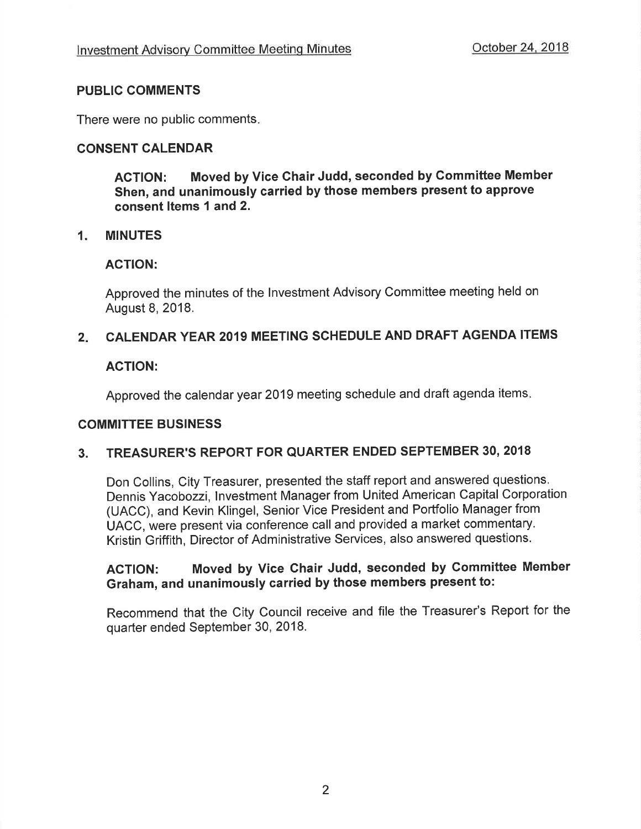### PUBLIC COMMENTS

There were no public comments

### CONSENT CALENDAR

AGTION: Moved by Vice Chair Judd, seconded by Gommittee Member Shen, and unanimously carried by those members present to approve consent ltems 1 and 2.

#### 1. MINUTES

#### ACTION:

Approved the minutes of the lnvestment Advisory Committee meeting held on August 8, 2018.

#### $2<sub>1</sub>$ CALENDAR YEAR 2019 MEETING SCHEDULE AND DRAFT AGENDA ITEMS

### ACTION:

Approved the calendar year 2019 meeting schedule and draft agenda items

#### GOMMITTEE BUSINESS

### 3. TREASURER'S REPORT FOR QUARTER ENDED SEPTEMBER 30, <sup>2018</sup>

Don Collins, City Treasurer, presented the staff report and answered questions. Dennis Yacobozzi, lnvestment Manager from United American Capital Corporation (UACC), and Kevin Klingel, Senior Vice President and Portfolio Manager from UACC, were present via conference call and provided a market commentary. Kristin Griffith, Director of Administrative Services, also answered questions.

# ACTION: Moved by Vice Chair Judd, seconded by Committee Member Graham, and unanimously carried by those members present to:

Recommend that the City Council receive and file the Treasurer's Report for the quarter ended September 30, 2018.